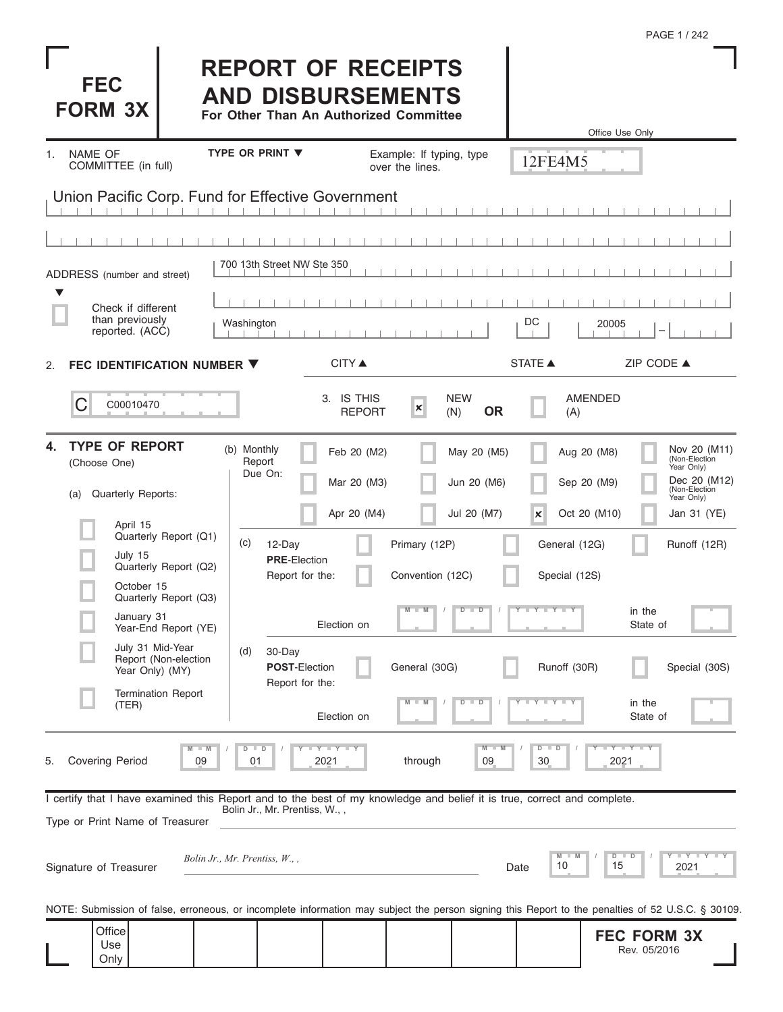|                                                                                                                                                            |                                                |                                                                                                 |                             |                                             |                                |                                                         |                                    | PAGE 1 / 242                                                                               |
|------------------------------------------------------------------------------------------------------------------------------------------------------------|------------------------------------------------|-------------------------------------------------------------------------------------------------|-----------------------------|---------------------------------------------|--------------------------------|---------------------------------------------------------|------------------------------------|--------------------------------------------------------------------------------------------|
| <b>FEC</b><br><b>FORM 3X</b>                                                                                                                               |                                                | <b>REPORT OF RECEIPTS</b><br><b>AND DISBURSEMENTS</b><br>For Other Than An Authorized Committee |                             |                                             |                                |                                                         | Office Use Only                    |                                                                                            |
| NAME OF<br>$\mathbf{1}$ .<br>COMMITTEE (in full)                                                                                                           |                                                | <b>TYPE OR PRINT ▼</b>                                                                          |                             | Example: If typing, type<br>over the lines. |                                | 12FE4M5                                                 |                                    |                                                                                            |
| Union Pacific Corp. Fund for Effective Government                                                                                                          |                                                |                                                                                                 |                             |                                             |                                |                                                         |                                    |                                                                                            |
|                                                                                                                                                            |                                                |                                                                                                 |                             |                                             |                                |                                                         |                                    |                                                                                            |
| ADDRESS (number and street)                                                                                                                                |                                                | 700 13th Street NW Ste 350                                                                      |                             |                                             |                                |                                                         |                                    |                                                                                            |
| $\blacktriangledown$<br>Check if different                                                                                                                 |                                                |                                                                                                 |                             |                                             |                                |                                                         |                                    |                                                                                            |
| than previously<br>reported. (ACC)                                                                                                                         |                                                | Washington                                                                                      |                             |                                             |                                | DC                                                      | 20005                              |                                                                                            |
| FEC IDENTIFICATION NUMBER ▼<br>2.                                                                                                                          |                                                |                                                                                                 | <b>CITY</b> ▲               |                                             |                                | <b>STATE ▲</b>                                          | ZIP CODE ▲                         |                                                                                            |
| С<br>C00010470                                                                                                                                             |                                                |                                                                                                 | 3. IS THIS<br><b>REPORT</b> | $\mathbf{x}$                                | <b>NEW</b><br>(N)<br><b>OR</b> | (A)                                                     | <b>AMENDED</b>                     |                                                                                            |
| <b>TYPE OF REPORT</b><br>4.<br>(Choose One)<br><b>Quarterly Reports:</b><br>(a)                                                                            |                                                | (b) Monthly<br>Report<br>Due On:                                                                | Feb 20 (M2)<br>Mar 20 (M3)  |                                             | May 20 (M5)<br>Jun 20 (M6)     |                                                         | Aug 20 (M8)<br>Sep 20 (M9)         | Nov 20 (M11)<br>(Non-Election<br>Year Only)<br>Dec 20 (M12)<br>(Non-Election<br>Year Only) |
| April 15<br>July 15<br>October 15                                                                                                                          | Quarterly Report (Q1)<br>Quarterly Report (Q2) | (c)<br>12-Day<br><b>PRE-Election</b><br>Report for the:                                         | Apr 20 (M4)                 | Primary (12P)<br>Convention (12C)           | Jul 20 (M7)                    | $\boldsymbol{\times}$<br>General (12G)<br>Special (12S) | Oct 20 (M10)                       | Jan 31 (YE)<br>Runoff (12R)                                                                |
| January 31                                                                                                                                                 | Quarterly Report (Q3)<br>Year-End Report (YE)  |                                                                                                 | Election on                 | $M$ $M$                                     | ъ<br>$\overline{\phantom{a}}$  | Y L Y L Y                                               | in the<br>State of                 |                                                                                            |
| July 31 Mid-Year<br>Year Only) (MY)                                                                                                                        | Report (Non-election                           | 30-Day<br>(d)<br><b>POST-Election</b><br>Report for the:                                        |                             | General (30G)                               |                                | Runoff (30R)                                            |                                    | Special (30S)                                                                              |
| (TER)                                                                                                                                                      | <b>Termination Report</b>                      |                                                                                                 | Election on                 |                                             | $\overline{D}$                 |                                                         | in the<br>State of                 |                                                                                            |
| Covering Period<br>5.                                                                                                                                      | 09                                             | $\Box$<br>D<br>2021<br>01                                                                       | Y LLY LLY                   | through                                     | M<br>09                        | $D$ $D$<br>30                                           | $Y - Y$<br>2021                    |                                                                                            |
| I certify that I have examined this Report and to the best of my knowledge and belief it is true, correct and complete.<br>Type or Print Name of Treasurer |                                                | Bolin Jr., Mr. Prentiss, W.,,                                                                   |                             |                                             |                                |                                                         |                                    |                                                                                            |
| Signature of Treasurer                                                                                                                                     |                                                | Bolin Jr., Mr. Prentiss, W.,,                                                                   |                             |                                             |                                | 10<br>Date                                              | D<br>D<br>15                       | <b>LIVERY LI</b><br>2021                                                                   |
| NOTE: Submission of false, erroneous, or incomplete information may subject the person signing this Report to the penalties of 52 U.S.C. § 30109.          |                                                |                                                                                                 |                             |                                             |                                |                                                         |                                    |                                                                                            |
| Office<br>Use<br>Only                                                                                                                                      |                                                |                                                                                                 |                             |                                             |                                |                                                         | <b>FEC FORM 3X</b><br>Rev. 05/2016 |                                                                                            |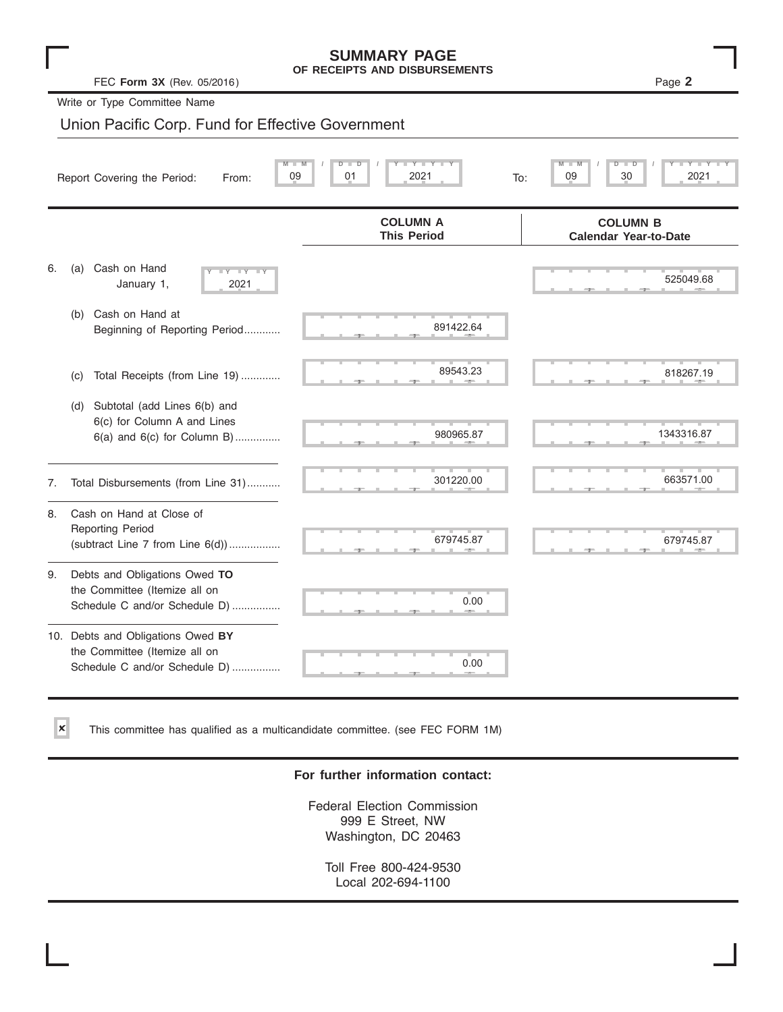|    | FEC Form 3X (Rev. 05/2016)                                                                            | <b>SUMMARY PAGE</b><br>OF RECEIPTS AND DISBURSEMENTS | Page 2                                          |  |  |  |  |
|----|-------------------------------------------------------------------------------------------------------|------------------------------------------------------|-------------------------------------------------|--|--|--|--|
|    | Write or Type Committee Name                                                                          |                                                      |                                                 |  |  |  |  |
|    | Union Pacific Corp. Fund for Effective Government                                                     |                                                      |                                                 |  |  |  |  |
|    | 30<br>09<br>01<br>2021<br>09<br>2021<br>Report Covering the Period:<br>To:<br>From:                   |                                                      |                                                 |  |  |  |  |
|    |                                                                                                       | <b>COLUMN A</b><br><b>This Period</b>                | <b>COLUMN B</b><br><b>Calendar Year-to-Date</b> |  |  |  |  |
| 6. | Cash on Hand<br>(a)<br>$\overline{\mathbf{y}}$<br><b>LY</b><br>January 1,<br>2021                     |                                                      | 525049.68                                       |  |  |  |  |
|    | Cash on Hand at<br>(b)<br>Beginning of Reporting Period                                               | 891422.64                                            |                                                 |  |  |  |  |
|    | Total Receipts (from Line 19)<br>(C)                                                                  | 89543.23                                             | 818267.19                                       |  |  |  |  |
|    | Subtotal (add Lines 6(b) and<br>(d)<br>6(c) for Column A and Lines<br>$6(a)$ and $6(c)$ for Column B) | 980965.87                                            | 1343316.87                                      |  |  |  |  |
| 7. | Total Disbursements (from Line 31)                                                                    | 301220.00                                            | 663571.00                                       |  |  |  |  |
| 8. | Cash on Hand at Close of<br><b>Reporting Period</b><br>(subtract Line $7$ from Line $6(d)$ )          | 679745.87                                            | 679745.87                                       |  |  |  |  |
| 9. | Debts and Obligations Owed TO<br>the Committee (Itemize all on<br>Schedule C and/or Schedule D)       | 0.00                                                 |                                                 |  |  |  |  |
|    | 10. Debts and Obligations Owed BY<br>the Committee (Itemize all on<br>Schedule C and/or Schedule D)   | 0.00                                                 |                                                 |  |  |  |  |

This committee has qualified as a multicandidate committee. (see FEC FORM 1M)

✘

### **For further information contact:**

Federal Election Commission 999 E Street, NW Washington, DC 20463

Toll Free 800-424-9530 Local 202-694-1100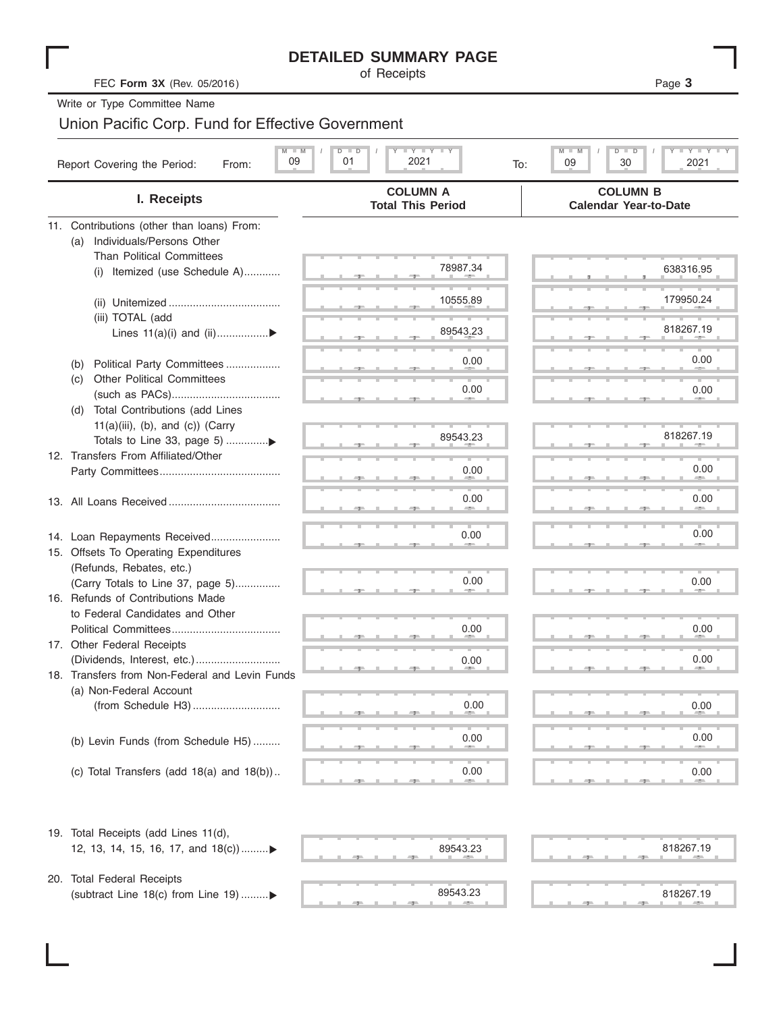|                                                                                                          | <b>DETAILED SUMMARY PAGE</b><br>of Receipts |                                                                            |
|----------------------------------------------------------------------------------------------------------|---------------------------------------------|----------------------------------------------------------------------------|
| FEC Form 3X (Rev. 05/2016)                                                                               |                                             | Page 3                                                                     |
| Write or Type Committee Name                                                                             |                                             |                                                                            |
| Union Pacific Corp. Fund for Effective Government                                                        |                                             |                                                                            |
| 09<br>Report Covering the Period:<br>From:                                                               | YIY<br>2021<br>01<br>To:                    | $M - M$<br>$Y - Y$<br>$\overline{D}$<br>$\blacksquare$<br>09<br>30<br>2021 |
| I. Receipts                                                                                              | <b>COLUMN A</b><br><b>Total This Period</b> | <b>COLUMN B</b><br><b>Calendar Year-to-Date</b>                            |
| 11. Contributions (other than loans) From:<br>(a) Individuals/Persons Other<br>Than Political Committees |                                             |                                                                            |
| (i) Itemized (use Schedule A)                                                                            | 78987.34                                    | 638316.95                                                                  |
| (iii) TOTAL (add                                                                                         | 10555.89                                    | 179950.24                                                                  |
| Lines 11(a)(i) and (ii)▶                                                                                 | 89543.23                                    | 818267.19                                                                  |
| Political Party Committees<br>(b)<br><b>Other Political Committees</b><br>(C)                            | 0.00                                        | 0.00                                                                       |
| Total Contributions (add Lines<br>(d)                                                                    | 0.00                                        | 0.00                                                                       |
| $11(a)(iii)$ , (b), and (c)) (Carry<br>Totals to Line 33, page 5) ▶                                      | 89543.23                                    | 818267.19                                                                  |
| 12. Transfers From Affiliated/Other                                                                      | 0.00                                        | 0.00                                                                       |
|                                                                                                          | 0.00                                        | 0.00                                                                       |
| 14. Loan Repayments Received<br>15. Offsets To Operating Expenditures                                    | 0.00                                        | 0.00                                                                       |
| (Refunds, Rebates, etc.)<br>(Carry Totals to Line 37, page 5)<br>16. Refunds of Contributions Made       | 0.00                                        | 0.00                                                                       |
| to Federal Candidates and Other<br>17. Other Federal Receipts                                            | 0.00                                        | 0.00                                                                       |
| 18. Transfers from Non-Federal and Levin Funds                                                           | 0.00                                        | 0.00                                                                       |
| (a) Non-Federal Account                                                                                  | 0.00                                        | 0.00                                                                       |
| (b) Levin Funds (from Schedule H5)                                                                       | 0.00                                        | 0.00                                                                       |
| (c) Total Transfers (add $18(a)$ and $18(b)$ )                                                           | 0.00                                        | 0.00                                                                       |
|                                                                                                          |                                             |                                                                            |
| 19. Total Receipts (add Lines 11(d),<br>12, 13, 14, 15, 16, 17, and 18(c))                               | 89543.23                                    | 818267.19                                                                  |
| 20. Total Federal Receipts<br>(subtract Line 18(c) from Line 19) ▶                                       | 89543.23                                    | 818267.19                                                                  |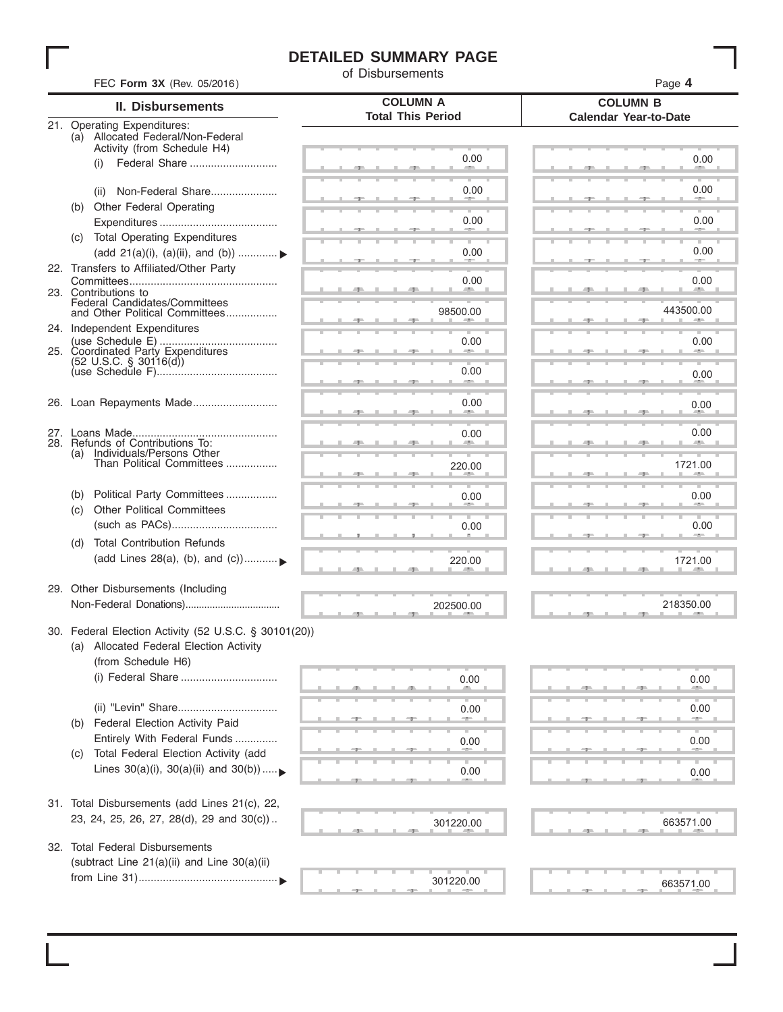# **DETAILED SUMMARY PAGE**

of Disbursements

| FEC Form 3X (Rev. 05/2016)                                                                     | טוווטטושטוש                                 | Page 4                                          |  |  |
|------------------------------------------------------------------------------------------------|---------------------------------------------|-------------------------------------------------|--|--|
| II. Disbursements                                                                              | <b>COLUMN A</b><br><b>Total This Period</b> | <b>COLUMN B</b><br><b>Calendar Year-to-Date</b> |  |  |
| 21. Operating Expenditures:<br>(a) Allocated Federal/Non-Federal                               |                                             |                                                 |  |  |
| Activity (from Schedule H4)                                                                    | 0.00                                        | 0.00                                            |  |  |
| Federal Share<br>(i)                                                                           |                                             |                                                 |  |  |
| Non-Federal Share<br>(ii)                                                                      | 0.00                                        | 0.00                                            |  |  |
| Other Federal Operating<br>(b)                                                                 | 0.00                                        | 0.00                                            |  |  |
| <b>Total Operating Expenditures</b><br>(C)                                                     |                                             |                                                 |  |  |
| (add 21(a)(i), (a)(ii), and (b))<br>22. Transfers to Affiliated/Other Party                    | 0.00                                        | 0.00                                            |  |  |
|                                                                                                | 0.00                                        | 0.00                                            |  |  |
| 23. Contributions to<br>Federal Candidates/Committees<br>and Other Political Committees        | 98500.00                                    | 443500.00                                       |  |  |
| 24. Independent Expenditures                                                                   |                                             |                                                 |  |  |
|                                                                                                | 0.00                                        | 0.00                                            |  |  |
| $(52 \text{ U.S.C. }$ § 30116(d))                                                              | 0.00                                        | 0.00                                            |  |  |
|                                                                                                |                                             |                                                 |  |  |
| 26. Loan Repayments Made                                                                       | 0.00                                        | 0.00                                            |  |  |
| 27.                                                                                            | 0.00                                        | 0.00                                            |  |  |
| 28. Refunds of Contributions To:<br>(a) Individuals/Persons Other<br>Than Political Committees |                                             |                                                 |  |  |
|                                                                                                | 220.00                                      | 1721.00                                         |  |  |
| Political Party Committees<br>(b)                                                              | 0.00                                        | 0.00                                            |  |  |
| <b>Other Political Committees</b><br>(C)                                                       | 0.00                                        | 0.00                                            |  |  |
| <b>Total Contribution Refunds</b><br>(d)                                                       |                                             |                                                 |  |  |
| (add Lines 28(a), (b), and $(c)$ )                                                             | 220.00                                      | 1721.00                                         |  |  |
| 29. Other Disbursements (Including                                                             |                                             |                                                 |  |  |
|                                                                                                | 202500.00                                   | 218350.00                                       |  |  |
| 30. Federal Election Activity (52 U.S.C. § 30101(20))                                          |                                             |                                                 |  |  |
| (a) Allocated Federal Election Activity                                                        |                                             |                                                 |  |  |
| (from Schedule H6)                                                                             | 0.00                                        | 0.00                                            |  |  |
|                                                                                                |                                             |                                                 |  |  |
| Federal Election Activity Paid<br>(b)                                                          | 0.00                                        | 0.00                                            |  |  |
| Entirely With Federal Funds                                                                    | 0.00                                        | 0.00                                            |  |  |
| Total Federal Election Activity (add<br>(C)                                                    |                                             |                                                 |  |  |
| Lines $30(a)(i)$ , $30(a)(ii)$ and $30(b))$                                                    | 0.00                                        | 0.00                                            |  |  |
| 31. Total Disbursements (add Lines 21(c), 22,                                                  |                                             |                                                 |  |  |
| 23, 24, 25, 26, 27, 28(d), 29 and 30(c))                                                       | 301220.00                                   | 663571.00                                       |  |  |
| 32. Total Federal Disbursements                                                                |                                             |                                                 |  |  |
| (subtract Line 21(a)(ii) and Line 30(a)(ii)                                                    |                                             |                                                 |  |  |
|                                                                                                | 301220.00                                   | 663571.00                                       |  |  |
|                                                                                                |                                             |                                                 |  |  |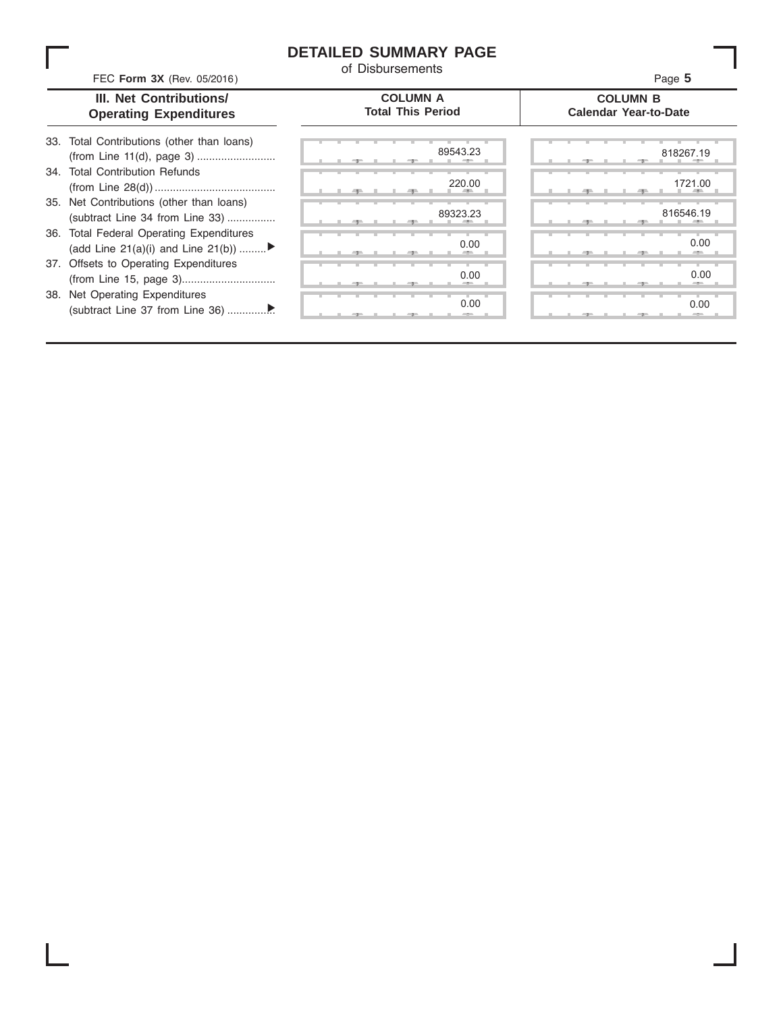## **DETAILED SUMMARY PAGE**

of Disbursements

FEC Form 3X (Rev. 05/2016) **CONSUMBEDENTS 12 13D** and the set of Disputs **13D** and the set of Disputs **13D** and the set of Disputs **13D** and the set of Disputs **13D** and the set of Disputs **13D** and the set of Disputs

#### **III. Net Contributions/ Operating Expenditures**

#### **COLUMN A Total This Period**

**COLUMN B Calendar Year-to-Date**

| 33. Total Contributions (other than loans) |
|--------------------------------------------|
|                                            |
| 34. Total Contribution Refunds             |
|                                            |
| 35. Net Contributions (other than loans)   |
| (subtract Line 34 from Line 33)            |
| 36. Total Federal Operating Expenditures   |
| (add Line 21(a)(i) and Line 21(b))         |
| 37. Offsets to Operating Expenditures      |
|                                            |
| 38. Net Operating Expenditures             |

VXEWUDFW /LQH IURP /LQH  ................ ▼

|   | 生     |    |    | ユー  | 89543.23            |
|---|-------|----|----|-----|---------------------|
|   |       |    |    |     | 220.00              |
| ш | - 7 - |    | a. | -91 | m<br>٠              |
|   |       |    |    |     | 89323.23<br>目       |
|   | 里     | в. | ш. | -91 | л                   |
|   |       |    |    |     | 0.00                |
|   | ு     |    |    | -7  | -                   |
|   |       |    | т  | ٠   | т<br>٠<br>т<br>0.00 |
|   | ヮ     |    |    | ユー  |                     |
|   |       |    | т  |     | т<br>0.00           |
|   |       |    |    | 7   | $-2-$               |

|     |  | 89543.23   | 818267.19 |
|-----|--|------------|-----------|
|     |  | 220.00     | 1721.00   |
|     |  | <b>ALC</b> | --        |
|     |  | 89323.23   | 816546.19 |
|     |  |            |           |
|     |  | 0.00       | 0.00      |
|     |  | -          |           |
|     |  | 0.00       | 0.00      |
|     |  | --         | ۰.        |
|     |  | 0.00       | 0.00      |
| -7- |  | $-$        |           |